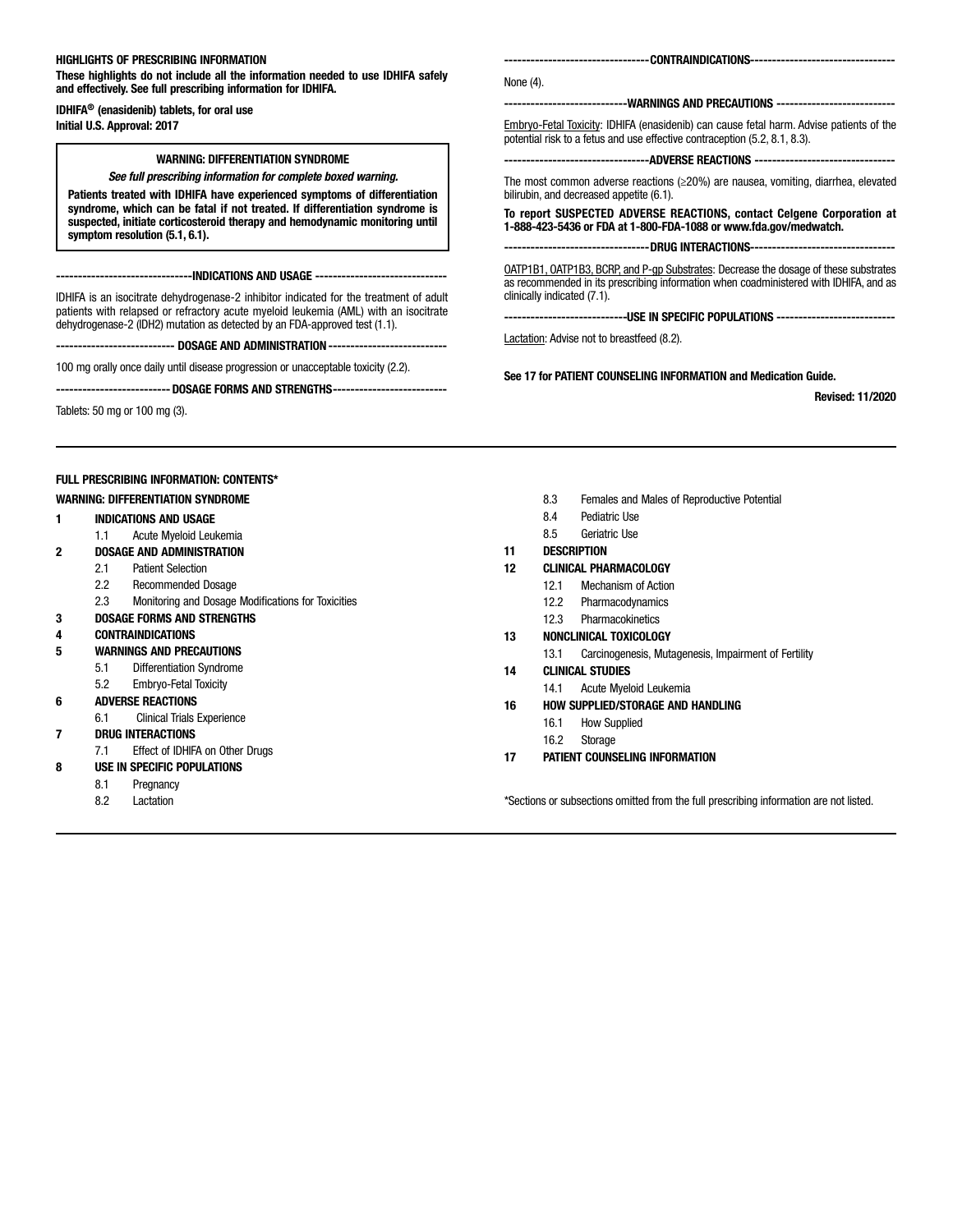## HIGHLIGHTS OF PRESCRIBING INFORMATION

These highlights do not include all the information needed to use IDHIFA safely and effectively. See full prescribing information for IDHIFA.

IDHIFA® (enasidenib) tablets, for oral use Initial U.S. Approval: 2017

## WARNING: DIFFERENTIATION SYNDROME

*See full prescribing information for complete boxed warning.*

Patients treated with IDHIFA have experienced symptoms of differentiation syndrome, which can be fatal if not treated. If differentiation syndrome is suspected, initiate corticosteroid therapy and hemodynamic monitoring until symptom resolution (5.1, 6.1).

--------------INDICATIONS AND USAGE ----

IDHIFA is an isocitrate dehydrogenase-2 inhibitor indicated for the treatment of adult patients with relapsed or refractory acute myeloid leukemia (AML) with an isocitrate dehydrogenase-2 (IDH2) mutation as detected by an FDA-approved test (1.1).

--- DOSAGE AND ADMINISTRATION -

100 mg orally once daily until disease progression or unacceptable toxicity (2.2).

--------------------------DOSAGE FORMS AND STRENGTHS--------------------------

Tablets: 50 mg or 100 mg (3).

FULL PRESCRIBING INFORMATION: CONTENTS\*

#### WARNING: DIFFERENTIATION SYNDROME

- 1 INDICATIONS AND USAGE
- 1.1 Acute Myeloid Leukemia

#### 2 DOSAGE AND ADMINISTRATION

- 2.1 Patient Selection
- 2.2 Recommended Dosage
- 2.3 Monitoring and Dosage Modifications for Toxicities
- 3 DOSAGE FORMS AND STRENGTHS
- 4 CONTRAINDICATIONS
- 5 WARNINGS AND PRECAUTIONS
	- 5.1 Differentiation Syndrome
	- 5.2 Embryo-Fetal Toxicity
- 6 ADVERSE REACTIONS
	- 6.1 Clinical Trials Experience
- 7 DRUG INTERACTIONS
	- 7.1 Effect of IDHIFA on Other Drugs
- 8 USE IN SPECIFIC POPULATIONS
	- 8.1 Pregnancy
	- 8.2 Lactation

8.3 Females and Males of Reproductive Potential

See 17 for PATIENT COUNSELING INFORMATION and Medication Guide.

--------------CONTRAINDICATIONS-----------

---------------------------------ADVERSE REACTIONS -------------------------------- The most common adverse reactions (≥20%) are nausea, vomiting, diarrhea, elevated

To report SUSPECTED ADVERSE REACTIONS, contact Celgene Corporation at 1-888-423-5436 or FDA at 1-800-FDA-1088 or www.fda.gov/medwatch. --DRUG INTERACTIONS-OATP1B1, OATP1B3, BCRP, and P-gp Substrates: Decrease the dosage of these substrates as recommended in its prescribing information when coadministered with IDHIFA, and as

--USE IN SPECIFIC POPULATIONS -----

Revised: 11/2020

potential risk to a fetus and use effective contraception (5.2, 8.1, 8.3).

-WARNINGS AND PRECAUTIONS -----Embryo-Fetal Toxicity: IDHIFA (enasidenib) can cause fetal harm. Advise patients of the

8.4 Pediatric Use

bilirubin, and decreased appetite (6.1).

Lactation: Advise not to breastfeed (8.2).

clinically indicated (7.1).

8.5 Geriatric Use

## 11 DESCRIPTION

None (4).

- 12 CLINICAL PHARMACOLOGY
	- 12.1 Mechanism of Action
	- 12.2 Pharmacodynamics
	- 12.3 Pharmacokinetics
- 13 NONCLINICAL TOXICOLOGY
	- 13.1 Carcinogenesis, Mutagenesis, Impairment of Fertility
- 14 CLINICAL STUDIES
	- 14.1 Acute Myeloid Leukemia
- 16 HOW SUPPLIED/STORAGE AND HANDLING
	- 16.1 How Supplied
	- 16.2 Storage
- 17 PATIENT COUNSELING INFORMATION

\*Sections or subsections omitted from the full prescribing information are not listed.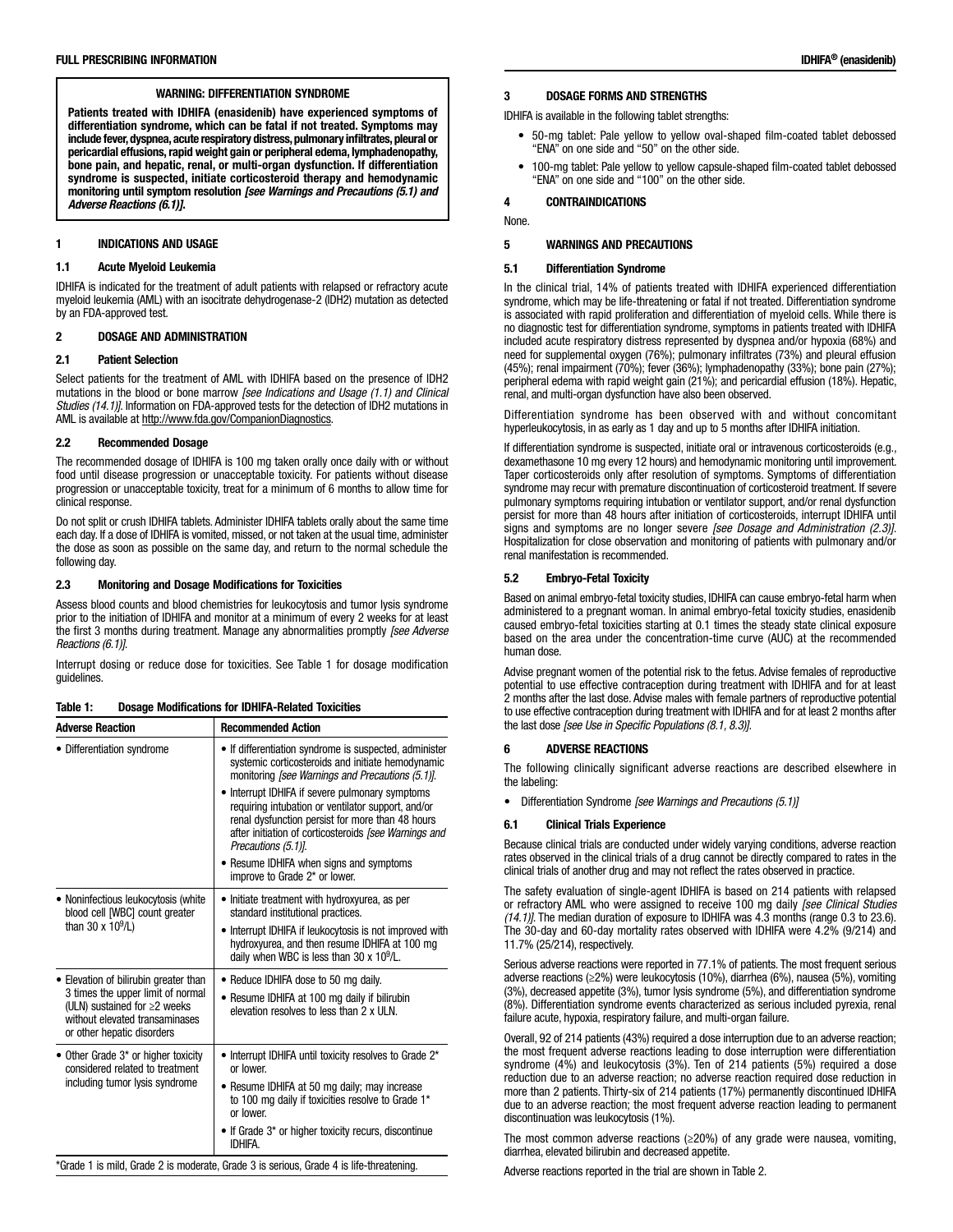Patients treated with IDHIFA (enasidenib) have experienced symptoms of differentiation syndrome, which can be fatal if not treated. Symptoms may include fever, dyspnea, acute respiratory distress, pulmonary infiltrates, pleural or pericardial effusions, rapid weight gain or peripheral edema, lymphadenopathy, bone pain, and hepatic, renal, or multi-organ dysfunction. If differentiation syndrome is suspected, initiate corticosteroid therapy and hemodynamic monitoring until symptom resolution *[see Warnings and Precautions (5.1) and Adverse Reactions (6.1)]*.

## 1 INDICATIONS AND USAGE

#### 1.1 Acute Myeloid Leukemia

IDHIFA is indicated for the treatment of adult patients with relapsed or refractory acute myeloid leukemia (AML) with an isocitrate dehydrogenase-2 (IDH2) mutation as detected by an FDA-approved test.

#### 2 DOSAGE AND ADMINISTRATION

#### 2.1 Patient Selection

Select patients for the treatment of AML with IDHIFA based on the presence of IDH2 mutations in the blood or bone marrow *[see Indications and Usage (1.1) and Clinical Studies (14.1)]*. Information on FDA-approved tests for the detection of IDH2 mutations in AML is available at http://www.fda.gov/CompanionDiagnostics.

#### 2.2 Recommended Dosage

The recommended dosage of IDHIFA is 100 mg taken orally once daily with or without food until disease progression or unacceptable toxicity. For patients without disease progression or unacceptable toxicity, treat for a minimum of 6 months to allow time for clinical response.

Do not split or crush IDHIFA tablets. Administer IDHIFA tablets orally about the same time each day. If a dose of IDHIFA is vomited, missed, or not taken at the usual time, administer the dose as soon as possible on the same day, and return to the normal schedule the following day.

#### 2.3 Monitoring and Dosage Modifications for Toxicities

Assess blood counts and blood chemistries for leukocytosis and tumor lysis syndrome prior to the initiation of IDHIFA and monitor at a minimum of every 2 weeks for at least the first 3 months during treatment. Manage any abnormalities promptly *[see Adverse Reactions (6.1)]*.

Interrupt dosing or reduce dose for toxicities. See Table 1 for dosage modification guidelines.

| <b>Dosage Modifications for IDHIFA-Related Toxicities</b><br>Table 1: |  |
|-----------------------------------------------------------------------|--|
|-----------------------------------------------------------------------|--|

| <b>Adverse Reaction</b>                                                                                                                 | <b>Recommended Action</b>                                                                                                                                                                                                               |
|-----------------------------------------------------------------------------------------------------------------------------------------|-----------------------------------------------------------------------------------------------------------------------------------------------------------------------------------------------------------------------------------------|
| • Differentiation syndrome                                                                                                              | • If differentiation syndrome is suspected, administer<br>systemic corticosteroids and initiate hemodynamic<br>monitoring <i>[see Warnings and Precautions (5.1)]</i> .                                                                 |
|                                                                                                                                         | Interrupt IDHIFA if severe pulmonary symptoms<br>requiring intubation or ventilator support, and/or<br>renal dysfunction persist for more than 48 hours<br>after initiation of corticosteroids [see Warnings and<br>Precautions (5.1)]. |
|                                                                                                                                         | • Resume IDHIFA when signs and symptoms<br>improve to Grade 2* or lower.                                                                                                                                                                |
| • Noninfectious leukocytosis (white<br>blood cell [WBC] count greater<br>than 30 x $10^9$ /L)                                           | • Initiate treatment with hydroxyurea, as per<br>standard institutional practices.                                                                                                                                                      |
|                                                                                                                                         | Interrupt IDHIFA if leukocytosis is not improved with<br>hydroxyurea, and then resume IDHIFA at 100 mg<br>daily when WBC is less than 30 x $10^9$ /L.                                                                                   |
| • Elevation of bilirubin greater than                                                                                                   | • Reduce IDHIFA dose to 50 mg daily.                                                                                                                                                                                                    |
| 3 times the upper limit of normal<br>(ULN) sustained for $\geq$ 2 weeks<br>without elevated transaminases<br>or other hepatic disorders | Resume IDHIFA at 100 mg daily if bilirubin<br>elevation resolves to less than 2 x ULN.                                                                                                                                                  |
| • Other Grade 3* or higher toxicity<br>considered related to treatment                                                                  | • Interrupt IDHIFA until toxicity resolves to Grade 2*<br>or lower.                                                                                                                                                                     |
| including tumor lysis syndrome                                                                                                          | • Resume IDHIFA at 50 mg daily; may increase<br>to 100 mg daily if toxicities resolve to Grade 1*<br>or lower.                                                                                                                          |
|                                                                                                                                         | • If Grade 3* or higher toxicity recurs, discontinue<br><b>IDHIFA.</b>                                                                                                                                                                  |

\*Grade 1 is mild, Grade 2 is moderate, Grade 3 is serious, Grade 4 is life-threatening.

## 3 DOSAGE FORMS AND STRENGTHS

IDHIFA is available in the following tablet strengths:

- 50-mg tablet: Pale yellow to yellow oval-shaped film-coated tablet debossed "ENA" on one side and "50" on the other side.
- 100-mg tablet: Pale yellow to yellow capsule-shaped film-coated tablet debossed "ENA" on one side and "100" on the other side.

## 4 CONTRAINDICATIONS

None.

#### 5 WARNINGS AND PRECAUTIONS

#### 5.1 Differentiation Syndrome

In the clinical trial, 14% of patients treated with IDHIFA experienced differentiation syndrome, which may be life-threatening or fatal if not treated. Differentiation syndrome is associated with rapid proliferation and differentiation of myeloid cells. While there is no diagnostic test for differentiation syndrome, symptoms in patients treated with IDHIFA included acute respiratory distress represented by dyspnea and/or hypoxia (68%) and need for supplemental oxygen (76%); pulmonary infiltrates (73%) and pleural effusion (45%); renal impairment (70%); fever (36%); lymphadenopathy (33%); bone pain (27%); peripheral edema with rapid weight gain (21%); and pericardial effusion (18%). Hepatic, renal, and multi-organ dysfunction have also been observed.

Differentiation syndrome has been observed with and without concomitant hyperleukocytosis, in as early as 1 day and up to 5 months after IDHIFA initiation.

If differentiation syndrome is suspected, initiate oral or intravenous corticosteroids (e.g., dexamethasone 10 mg every 12 hours) and hemodynamic monitoring until improvement. Taper corticosteroids only after resolution of symptoms. Symptoms of differentiation syndrome may recur with premature discontinuation of corticosteroid treatment. If severe pulmonary symptoms requiring intubation or ventilator support, and/or renal dysfunction persist for more than 48 hours after initiation of corticosteroids, interrupt IDHIFA until signs and symptoms are no longer severe *[see Dosage and Administration (2.3)]*. Hospitalization for close observation and monitoring of patients with pulmonary and/or renal manifestation is recommended.

### 5.2 Embryo-Fetal Toxicity

Based on animal embryo-fetal toxicity studies, IDHIFA can cause embryo-fetal harm when administered to a pregnant woman. In animal embryo-fetal toxicity studies, enasidenib caused embryo-fetal toxicities starting at 0.1 times the steady state clinical exposure based on the area under the concentration-time curve (AUC) at the recommended human dose.

Advise pregnant women of the potential risk to the fetus. Advise females of reproductive potential to use effective contraception during treatment with IDHIFA and for at least 2 months after the last dose. Advise males with female partners of reproductive potential to use effective contraception during treatment with IDHIFA and for at least 2 months after the last dose *[see Use in Specific Populations (8.1, 8.3)]*.

### 6 ADVERSE REACTIONS

The following clinically significant adverse reactions are described elsewhere in the labeling:

• Differentiation Syndrome *[see Warnings and Precautions (5.1)]*

### 6.1 Clinical Trials Experience

Because clinical trials are conducted under widely varying conditions, adverse reaction rates observed in the clinical trials of a drug cannot be directly compared to rates in the clinical trials of another drug and may not reflect the rates observed in practice.

The safety evaluation of single-agent IDHIFA is based on 214 patients with relapsed or refractory AML who were assigned to receive 100 mg daily *[see Clinical Studies (14.1)]*. The median duration of exposure to IDHIFA was 4.3 months (range 0.3 to 23.6). The 30-day and 60-day mortality rates observed with IDHIFA were 4.2% (9/214) and 11.7% (25/214), respectively.

Serious adverse reactions were reported in 77.1% of patients. The most frequent serious adverse reactions (≥2%) were leukocytosis (10%), diarrhea (6%), nausea (5%), vomiting (3%), decreased appetite (3%), tumor lysis syndrome (5%), and differentiation syndrome (8%). Differentiation syndrome events characterized as serious included pyrexia, renal failure acute, hypoxia, respiratory failure, and multi-organ failure.

Overall, 92 of 214 patients (43%) required a dose interruption due to an adverse reaction; the most frequent adverse reactions leading to dose interruption were differentiation syndrome (4%) and leukocytosis (3%). Ten of 214 patients (5%) required a dose reduction due to an adverse reaction; no adverse reaction required dose reduction in more than 2 patients. Thirty-six of 214 patients (17%) permanently discontinued IDHIFA due to an adverse reaction; the most frequent adverse reaction leading to permanent discontinuation was leukocytosis (1%).

The most common adverse reactions (≥20%) of any grade were nausea, vomiting, diarrhea, elevated bilirubin and decreased appetite.

Adverse reactions reported in the trial are shown in Table 2.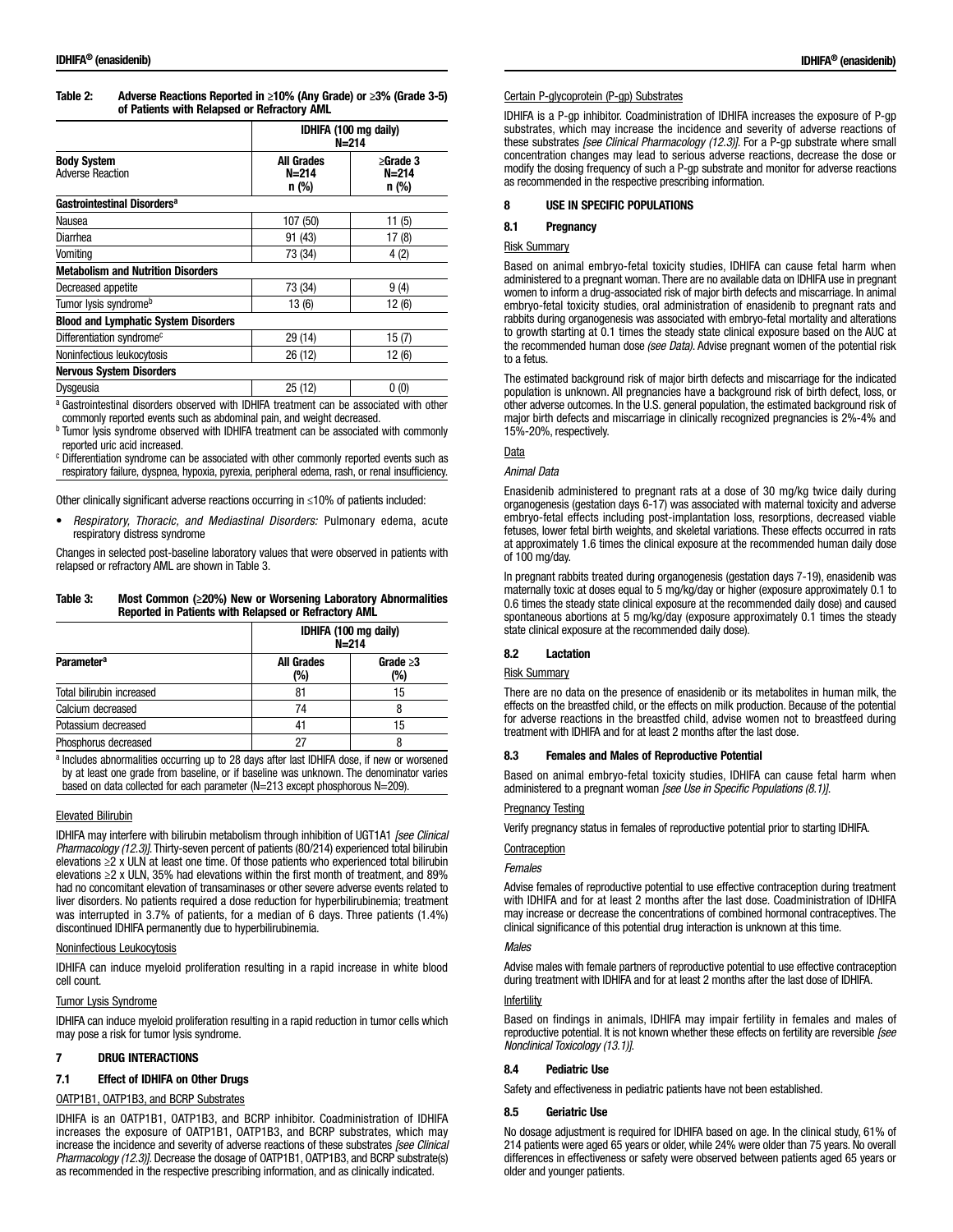| Table 2: | Adverse Reactions Reported in $\geq 10\%$ (Any Grade) or $\geq 3\%$ (Grade 3-5) |
|----------|---------------------------------------------------------------------------------|
|          | of Patients with Relapsed or Refractory AML                                     |

|                                               | IDHIFA (100 mg daily)<br>$N = 214$    |                                      |
|-----------------------------------------------|---------------------------------------|--------------------------------------|
| <b>Body System</b><br><b>Adverse Reaction</b> | <b>All Grades</b><br>$N=214$<br>n (%) | $\geq$ Grade 3<br>$N=214$<br>$n$ (%) |
| Gastrointestinal Disorders <sup>a</sup>       |                                       |                                      |
| Nausea                                        | 107 (50)                              | 11(5)                                |
| Diarrhea                                      | 91 (43)                               | 17(8)                                |
| Vomiting                                      | 73 (34)                               | 4(2)                                 |
| <b>Metabolism and Nutrition Disorders</b>     |                                       |                                      |
| Decreased appetite                            | 73 (34)                               | 9(4)                                 |
| Tumor lysis syndrome <sup>b</sup>             | 13(6)                                 | 12(6)                                |
| <b>Blood and Lymphatic System Disorders</b>   |                                       |                                      |
| Differentiation syndrome <sup>c</sup>         | 29 (14)                               | 15(7)                                |
| Noninfectious leukocytosis                    | 26 (12)                               | 12 (6)                               |
| <b>Nervous System Disorders</b>               |                                       |                                      |
| Dysgeusia                                     | 25 (12)                               | 0(0)                                 |

<sup>a</sup> Gastrointestinal disorders observed with IDHIFA treatment can be associated with other commonly reported events such as abdominal pain, and weight decreased.

<sup>b</sup> Tumor lysis syndrome observed with IDHIFA treatment can be associated with commonly reported uric acid increased.

<sup>c</sup> Differentiation syndrome can be associated with other commonly reported events such as respiratory failure, dyspnea, hypoxia, pyrexia, peripheral edema, rash, or renal insufficiency.

Other clinically significant adverse reactions occurring in ≤10% of patients included:

• *Respiratory, Thoracic, and Mediastinal Disorders:* Pulmonary edema, acute respiratory distress syndrome

Changes in selected post-baseline laboratory values that were observed in patients with relapsed or refractory AML are shown in Table 3.

Table 3: Most Common (≥20%) New or Worsening Laboratory Abnormalities Reported in Patients with Relapsed or Refractory AML

|                              | IDHIFA (100 mg daily)<br>$N = 214$ |                       |
|------------------------------|------------------------------------|-----------------------|
| <b>Parameter<sup>a</sup></b> | <b>All Grades</b><br>(%)           | Grade $\geq 3$<br>(%) |
| Total bilirubin increased    | 81                                 | 15                    |
| Calcium decreased            | 74                                 |                       |
| Potassium decreased          | 41                                 | 15                    |
| Phosphorus decreased         | 27                                 |                       |

a Includes abnormalities occurring up to 28 days after last IDHIFA dose, if new or worsened by at least one grade from baseline, or if baseline was unknown. The denominator varies based on data collected for each parameter (N=213 except phosphorous N=209).

### Elevated Bilirubin

IDHIFA may interfere with bilirubin metabolism through inhibition of UGT1A1 *[see Clinical Pharmacology (12.3)]*. Thirty-seven percent of patients (80/214) experienced total bilirubin elevations  $\geq 2$  x ULN at least one time. Of those patients who experienced total bilirubin elevations ≥2 x ULN, 35% had elevations within the first month of treatment, and 89% had no concomitant elevation of transaminases or other severe adverse events related to liver disorders. No patients required a dose reduction for hyperbilirubinemia; treatment was interrupted in 3.7% of patients, for a median of 6 days. Three patients (1.4%) discontinued IDHIFA permanently due to hyperbilirubinemia.

### Noninfectious Leukocytosis

IDHIFA can induce myeloid proliferation resulting in a rapid increase in white blood cell count.

### Tumor Lysis Syndrome

IDHIFA can induce myeloid proliferation resulting in a rapid reduction in tumor cells which may pose a risk for tumor lysis syndrome.

## 7 DRUG INTERACTIONS

## 7.1 Effect of IDHIFA on Other Drugs

### OATP1B1, OATP1B3, and BCRP Substrates

IDHIFA is an OATP1B1, OATP1B3, and BCRP inhibitor. Coadministration of IDHIFA increases the exposure of OATP1B1, OATP1B3, and BCRP substrates, which may increase the incidence and severity of adverse reactions of these substrates *[see Clinical Pharmacology (12.3)]*. Decrease the dosage of OATP1B1, OATP1B3, and BCRP substrate(s) as recommended in the respective prescribing information, and as clinically indicated.

#### Certain P-glycoprotein (P-gp) Substrates

IDHIFA is a P-gp inhibitor. Coadministration of IDHIFA increases the exposure of P-gp substrates, which may increase the incidence and severity of adverse reactions of these substrates *[see Clinical Pharmacology (12.3)]*. For a P-gp substrate where small concentration changes may lead to serious adverse reactions, decrease the dose or modify the dosing frequency of such a P-gp substrate and monitor for adverse reactions as recommended in the respective prescribing information.

## 8 USE IN SPECIFIC POPULATIONS

## 8.1 Pregnancy

## Risk Summary

Based on animal embryo-fetal toxicity studies, IDHIFA can cause fetal harm when administered to a pregnant woman. There are no available data on IDHIFA use in pregnant women to inform a drug-associated risk of major birth defects and miscarriage. In animal embryo-fetal toxicity studies, oral administration of enasidenib to pregnant rats and rabbits during organogenesis was associated with embryo-fetal mortality and alterations to growth starting at 0.1 times the steady state clinical exposure based on the AUC at the recommended human dose *(see Data)*. Advise pregnant women of the potential risk to a fetus.

The estimated background risk of major birth defects and miscarriage for the indicated population is unknown. All pregnancies have a background risk of birth defect, loss, or other adverse outcomes. In the U.S. general population, the estimated background risk of major birth defects and miscarriage in clinically recognized pregnancies is 2%-4% and 15%-20%, respectively.

### Data

### *Animal Data*

Enasidenib administered to pregnant rats at a dose of 30 mg/kg twice daily during organogenesis (gestation days 6-17) was associated with maternal toxicity and adverse embryo-fetal effects including post-implantation loss, resorptions, decreased viable fetuses, lower fetal birth weights, and skeletal variations. These effects occurred in rats at approximately 1.6 times the clinical exposure at the recommended human daily dose of 100 mg/day.

In pregnant rabbits treated during organogenesis (gestation days 7-19), enasidenib was maternally toxic at doses equal to 5 mg/kg/day or higher (exposure approximately 0.1 to 0.6 times the steady state clinical exposure at the recommended daily dose) and caused spontaneous abortions at 5 mg/kg/day (exposure approximately 0.1 times the steady state clinical exposure at the recommended daily dose).

## 8.2 Lactation

## Risk Summary

There are no data on the presence of enasidenib or its metabolites in human milk, the effects on the breastfed child, or the effects on milk production. Because of the potential for adverse reactions in the breastfed child, advise women not to breastfeed during treatment with IDHIFA and for at least 2 months after the last dose.

### 8.3 Females and Males of Reproductive Potential

Based on animal embryo-fetal toxicity studies, IDHIFA can cause fetal harm when administered to a pregnant woman *[see Use in Specific Populations (8.1)]*.

### Pregnancy Testing

Verify pregnancy status in females of reproductive potential prior to starting IDHIFA.

## **Contraception**

### *Females*

Advise females of reproductive potential to use effective contraception during treatment with IDHIFA and for at least 2 months after the last dose. Coadministration of IDHIFA may increase or decrease the concentrations of combined hormonal contraceptives. The clinical significance of this potential drug interaction is unknown at this time.

### *Males*

Advise males with female partners of reproductive potential to use effective contraception during treatment with IDHIFA and for at least 2 months after the last dose of IDHIFA.

## **Infertility**

Based on findings in animals, IDHIFA may impair fertility in females and males of reproductive potential. It is not known whether these effects on fertility are reversible *[see Nonclinical Toxicology (13.1)]*.

## 8.4 Pediatric Use

Safety and effectiveness in pediatric patients have not been established.

### 8.5 Geriatric Use

No dosage adjustment is required for IDHIFA based on age. In the clinical study, 61% of 214 patients were aged 65 years or older, while 24% were older than 75 years. No overall differences in effectiveness or safety were observed between patients aged 65 years or older and younger patients.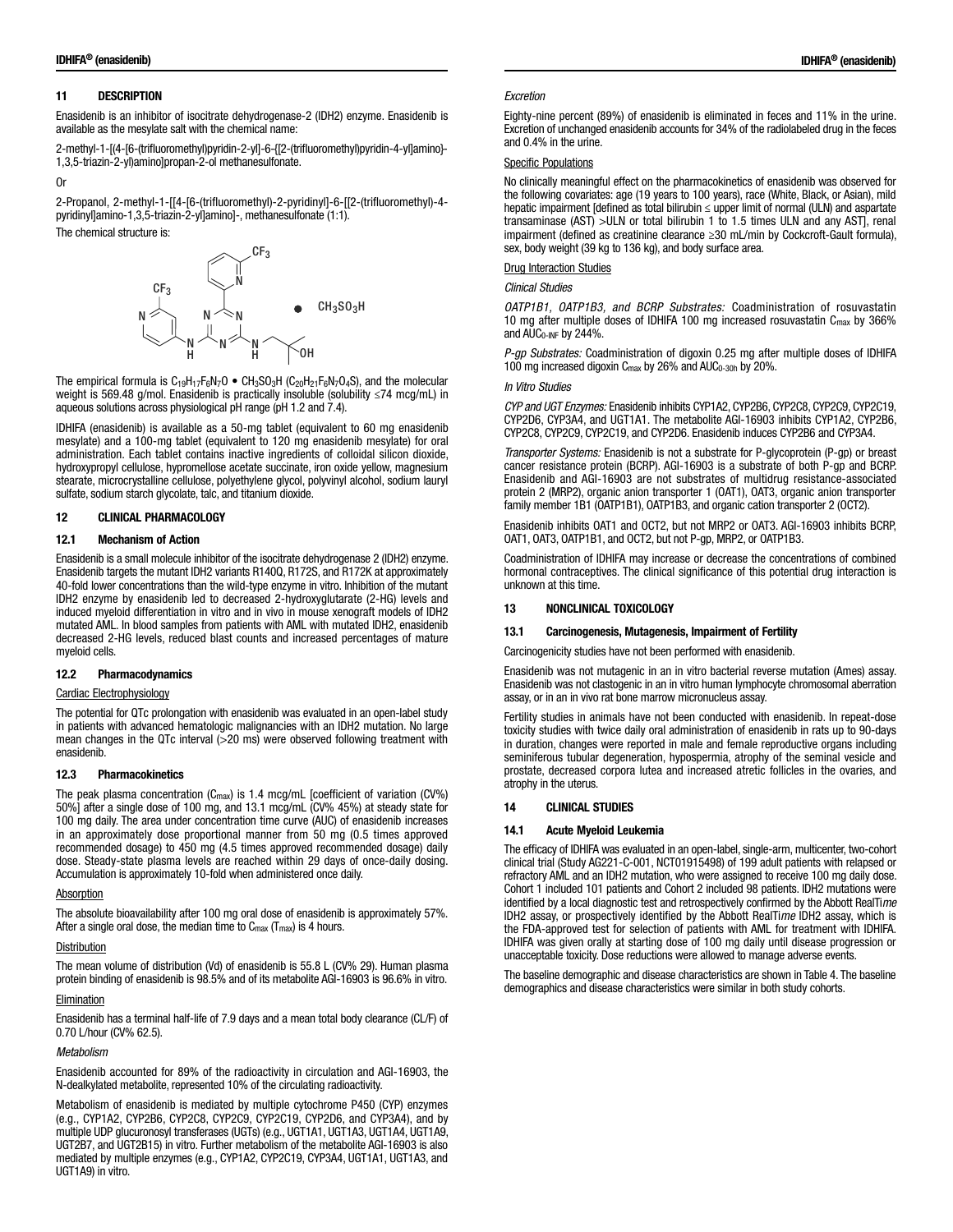# 11 DESCRIPTION

Enasidenib is an inhibitor of isocitrate dehydrogenase-2 (IDH2) enzyme. Enasidenib is available as the mesylate salt with the chemical name:

2-methyl-1-[(4-[6-(trifluoromethyl)pyridin-2-yl]-6-{[2-(trifluoromethyl)pyridin-4-yl]amino}- 1,3,5-triazin-2-yl)amino]propan-2-ol methanesulfonate.

#### Or

2-Propanol, 2-methyl-1-[[4-[6-(trifluoromethyl)-2-pyridinyl]-6-[[2-(trifluoromethyl)-4 pyridinyl]amino-1,3,5-triazin-2-yl]amino]-, methanesulfonate (1:1). The chemical structure is:



The empirical formula is  $C_{19}H_{17}F_6N_7O \bullet CH_3SO_3H (C_{20}H_{21}F_6N_7O_4S)$ , and the molecular weight is 569.48 g/mol. Enasidenib is practically insoluble (solubility ≤74 mcg/mL) in aqueous solutions across physiological pH range (pH 1.2 and 7.4).

IDHIFA (enasidenib) is available as a 50-mg tablet (equivalent to 60 mg enasidenib mesylate) and a 100-mg tablet (equivalent to 120 mg enasidenib mesylate) for oral administration. Each tablet contains inactive ingredients of colloidal silicon dioxide, hydroxypropyl cellulose, hypromellose acetate succinate, iron oxide yellow, magnesium stearate, microcrystalline cellulose, polyethylene glycol, polyvinyl alcohol, sodium lauryl sulfate, sodium starch glycolate, talc, and titanium dioxide.

## 12 CLINICAL PHARMACOLOGY

## 12.1 Mechanism of Action

Enasidenib is a small molecule inhibitor of the isocitrate dehydrogenase 2 (IDH2) enzyme. Enasidenib targets the mutant IDH2 variants R140Q, R172S, and R172K at approximately 40-fold lower concentrations than the wild-type enzyme in vitro. Inhibition of the mutant IDH2 enzyme by enasidenib led to decreased 2-hydroxyglutarate (2-HG) levels and induced myeloid differentiation in vitro and in vivo in mouse xenograft models of IDH2 mutated AML. In blood samples from patients with AML with mutated IDH2, enasidenib decreased 2-HG levels, reduced blast counts and increased percentages of mature myeloid cells.

## 12.2 Pharmacodynamics

## Cardiac Electrophysiology

The potential for QTc prolongation with enasidenib was evaluated in an open-label study in patients with advanced hematologic malignancies with an IDH2 mutation. No large mean changes in the QTc interval (>20 ms) were observed following treatment with enasidenib.

#### 12.3 Pharmacokinetics

The peak plasma concentration (Cmax) is 1.4 mcg/mL [coefficient of variation (CV%) 50%] after a single dose of 100 mg, and 13.1 mcg/mL (CV% 45%) at steady state for 100 mg daily. The area under concentration time curve (AUC) of enasidenib increases in an approximately dose proportional manner from 50 mg (0.5 times approved recommended dosage) to 450 mg (4.5 times approved recommended dosage) daily dose. Steady-state plasma levels are reached within 29 days of once-daily dosing. Accumulation is approximately 10-fold when administered once daily.

### **Absorption**

The absolute bioavailability after 100 mg oral dose of enasidenib is approximately 57%. After a single oral dose, the median time to  $C_{\text{max}}$  ( $T_{\text{max}}$ ) is 4 hours.

#### **Distribution**

The mean volume of distribution (Vd) of enasidenib is 55.8 L (CV% 29). Human plasma protein binding of enasidenib is 98.5% and of its metabolite AGI-16903 is 96.6% in vitro.

### Elimination

Enasidenib has a terminal half-life of 7.9 days and a mean total body clearance (CL/F) of 0.70 L/hour (CV% 62.5).

## *Metabolism*

Enasidenib accounted for 89% of the radioactivity in circulation and AGI-16903, the N-dealkylated metabolite, represented 10% of the circulating radioactivity.

Metabolism of enasidenib is mediated by multiple cytochrome P450 (CYP) enzymes (e.g., CYP1A2, CYP2B6, CYP2C8, CYP2C9, CYP2C19, CYP2D6, and CYP3A4), and by multiple UDP glucuronosyl transferases (UGTs) (e.g., UGT1A1, UGT1A3, UGT1A4, UGT1A9, UGT2B7, and UGT2B15) in vitro. Further metabolism of the metabolite AGI-16903 is also mediated by multiple enzymes (e.g., CYP1A2, CYP2C19, CYP3A4, UGT1A1, UGT1A3, and UGT1A9) in vitro.

#### *Excretion*

Eighty-nine percent (89%) of enasidenib is eliminated in feces and 11% in the urine. Excretion of unchanged enasidenib accounts for 34% of the radiolabeled drug in the feces and 0.4% in the urine.

#### Specific Populations

No clinically meaningful effect on the pharmacokinetics of enasidenib was observed for the following covariates: age (19 years to 100 years), race (White, Black, or Asian), mild hepatic impairment [defined as total bilirubin ≤ upper limit of normal (ULN) and aspartate transaminase (AST) >ULN or total bilirubin 1 to 1.5 times ULN and any AST], renal impairment (defined as creatinine clearance ≥30 mL/min by Cockcroft-Gault formula), sex, body weight (39 kg to 136 kg), and body surface area.

#### Drug Interaction Studies

#### *Clinical Studies*

*OATP1B1, OATP1B3, and BCRP Substrates:* Coadministration of rosuvastatin 10 mg after multiple doses of IDHIFA 100 mg increased rosuvastatin C<sub>max</sub> by 366% and  $AUC_{0-INF}$  by 244%.

*P-gp Substrates:* Coadministration of digoxin 0.25 mg after multiple doses of IDHIFA 100 mg increased digoxin Cmax by 26% and AUC0-30h by 20%.

#### *In Vitro Studies*

*CYP and UGT Enzymes:* Enasidenib inhibits CYP1A2, CYP2B6, CYP2C8, CYP2C9, CYP2C19, CYP2D6, CYP3A4, and UGT1A1. The metabolite AGI-16903 inhibits CYP1A2, CYP2B6, CYP2C8, CYP2C9, CYP2C19, and CYP2D6. Enasidenib induces CYP2B6 and CYP3A4.

*Transporter Systems:* Enasidenib is not a substrate for P-glycoprotein (P-gp) or breast cancer resistance protein (BCRP). AGI-16903 is a substrate of both P-gp and BCRP. Enasidenib and AGI-16903 are not substrates of multidrug resistance-associated protein 2 (MRP2), organic anion transporter 1 (OAT1), OAT3, organic anion transporter family member 1B1 (OATP1B1), OATP1B3, and organic cation transporter 2 (OCT2).

Enasidenib inhibits OAT1 and OCT2, but not MRP2 or OAT3. AGI-16903 inhibits BCRP, OAT1, OAT3, OATP1B1, and OCT2, but not P-gp, MRP2, or OATP1B3.

Coadministration of IDHIFA may increase or decrease the concentrations of combined hormonal contraceptives. The clinical significance of this potential drug interaction is unknown at this time.

### 13 NONCLINICAL TOXICOLOGY

#### 13.1 Carcinogenesis, Mutagenesis, Impairment of Fertility

Carcinogenicity studies have not been performed with enasidenib.

Enasidenib was not mutagenic in an in vitro bacterial reverse mutation (Ames) assay. Enasidenib was not clastogenic in an in vitro human lymphocyte chromosomal aberration assay, or in an in vivo rat bone marrow micronucleus assay.

Fertility studies in animals have not been conducted with enasidenib. In repeat-dose toxicity studies with twice daily oral administration of enasidenib in rats up to 90-days in duration, changes were reported in male and female reproductive organs including seminiferous tubular degeneration, hypospermia, atrophy of the seminal vesicle and prostate, decreased corpora lutea and increased atretic follicles in the ovaries, and atrophy in the uterus.

#### 14 CLINICAL STUDIES

### 14.1 Acute Myeloid Leukemia

The efficacy of IDHIFA was evaluated in an open-label, single-arm, multicenter, two-cohort clinical trial (Study AG221-C-001, NCT01915498) of 199 adult patients with relapsed or refractory AML and an IDH2 mutation, who were assigned to receive 100 mg daily dose. Cohort 1 included 101 patients and Cohort 2 included 98 patients. IDH2 mutations were identified by a local diagnostic test and retrospectively confirmed by the Abbott RealTi*me* IDH2 assay, or prospectively identified by the Abbott RealTi*me* IDH2 assay, which is the FDA-approved test for selection of patients with AML for treatment with IDHIFA. IDHIFA was given orally at starting dose of 100 mg daily until disease progression or unacceptable toxicity. Dose reductions were allowed to manage adverse events.

The baseline demographic and disease characteristics are shown in Table 4. The baseline demographics and disease characteristics were similar in both study cohorts.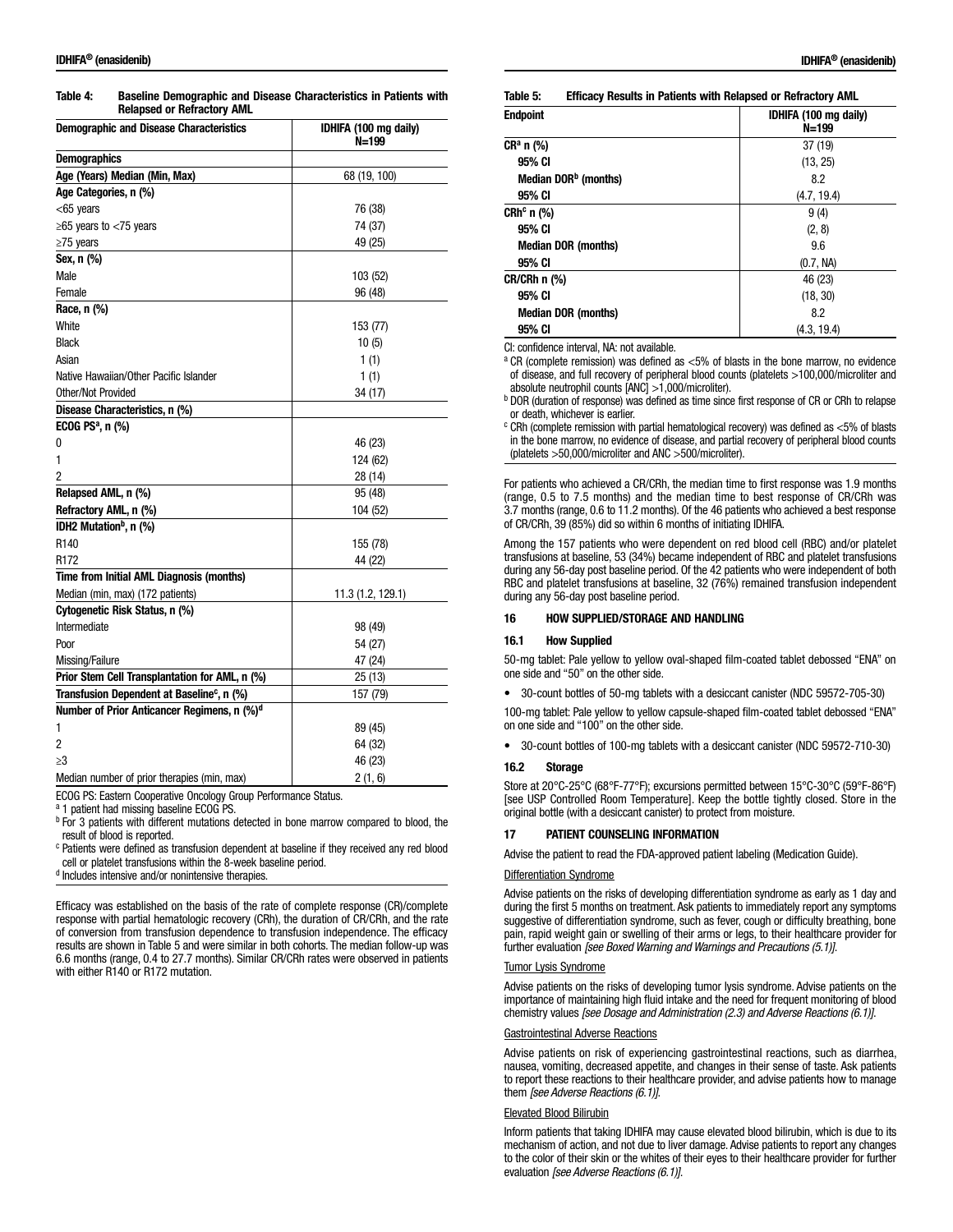Table 4: Baseline Demographic and Disease Characteristics in Patients with Relapsed or Refractory AML

| <b>Demographic and Disease Characteristics</b>          | IDHIFA (100 mg daily)<br>N=199 |
|---------------------------------------------------------|--------------------------------|
| <b>Demographics</b>                                     |                                |
| Age (Years) Median (Min, Max)                           | 68 (19, 100)                   |
| Age Categories, n (%)                                   |                                |
| $<$ 65 years                                            | 76 (38)                        |
| ≥65 years to $<$ 75 years                               | 74 (37)                        |
| $\geq$ 75 years                                         | 49 (25)                        |
| Sex, n (%)                                              |                                |
| Male                                                    | 103 (52)                       |
| Female                                                  | 96 (48)                        |
| Race, n (%)                                             |                                |
| White                                                   | 153 (77)                       |
| <b>Black</b>                                            | 10(5)                          |
| Asian                                                   | 1(1)                           |
| Native Hawaiian/Other Pacific Islander                  | 1(1)                           |
| Other/Not Provided                                      | 34 (17)                        |
| Disease Characteristics, n (%)                          |                                |
| ECOG PS $a$ , n $(\%)$                                  |                                |
| 0                                                       | 46 (23)                        |
| 1                                                       | 124 (62)                       |
| 2                                                       | 28 (14)                        |
| Relapsed AML, n (%)                                     | 95 (48)                        |
| Refractory AML, n (%)                                   | 104 (52)                       |
| IDH2 Mutation <sup>b</sup> , n (%)                      |                                |
| R <sub>140</sub>                                        | 155 (78)                       |
| R <sub>172</sub>                                        | 44 (22)                        |
| Time from Initial AML Diagnosis (months)                |                                |
| Median (min, max) (172 patients)                        | 11.3 (1.2, 129.1)              |
| Cytogenetic Risk Status, n (%)                          |                                |
| Intermediate                                            | 98 (49)                        |
| Poor                                                    | 54 (27)                        |
| Missing/Failure                                         | 47 (24)                        |
| Prior Stem Cell Transplantation for AML, n (%)          | 25 (13)                        |
| Transfusion Dependent at Baseline <sup>c</sup> , n (%)  | 157 (79)                       |
| Number of Prior Anticancer Regimens, n (%) <sup>d</sup> |                                |
| 1                                                       | 89 (45)                        |
| 2                                                       | 64 (32)                        |
| $\geq$ 3                                                | 46 (23)                        |
| Median number of prior therapies (min, max)             | 2(1, 6)                        |

ECOG PS: Eastern Cooperative Oncology Group Performance Status.

a 1 patient had missing baseline ECOG PS.

**b** For 3 patients with different mutations detected in bone marrow compared to blood, the result of blood is reported.

<sup>c</sup> Patients were defined as transfusion dependent at baseline if they received any red blood cell or platelet transfusions within the 8-week baseline period.

<sup>d</sup> Includes intensive and/or nonintensive therapies.

Efficacy was established on the basis of the rate of complete response (CR)/complete response with partial hematologic recovery (CRh), the duration of CR/CRh, and the rate of conversion from transfusion dependence to transfusion independence. The efficacy results are shown in Table 5 and were similar in both cohorts. The median follow-up was 6.6 months (range, 0.4 to 27.7 months). Similar CR/CRh rates were observed in patients with either R140 or R172 mutation.

|  | Table 5: | <b>Efficacy Results in Patients with Relapsed or Refractory AML</b> |
|--|----------|---------------------------------------------------------------------|
|--|----------|---------------------------------------------------------------------|

| Endpoint                         | IDHIFA (100 mg daily)<br>$N = 199$ |
|----------------------------------|------------------------------------|
| CRª n (%)                        | 37 (19)                            |
| 95% CI                           | (13, 25)                           |
| Median DOR <sup>b</sup> (months) | 8.2                                |
| 95% CI                           | (4.7, 19.4)                        |
| CRhº n (%)                       | 9(4)                               |
| 95% CI                           | (2, 8)                             |
| <b>Median DOR (months)</b>       | 9.6                                |
| 95% CI                           | (0.7, NA)                          |
| CR/CRh n (%)                     | 46 (23)                            |
| 95% CI                           | (18, 30)                           |
| <b>Median DOR (months)</b>       | 8.2                                |
| 95% CI                           | (4.3, 19.4)                        |

CI: confidence interval, NA: not available.

<sup>a</sup> CR (complete remission) was defined as <5% of blasts in the bone marrow, no evidence of disease, and full recovery of peripheral blood counts (platelets >100,000/microliter and absolute neutrophil counts [ANC] >1,000/microliter).

**b DOR (duration of response) was defined as time since first response of CR or CRh to relapse** or death, whichever is earlier.

 $c$  CRh (complete remission with partial hematological recovery) was defined as  $<$ 5% of blasts in the bone marrow, no evidence of disease, and partial recovery of peripheral blood counts (platelets >50,000/microliter and ANC >500/microliter).

For patients who achieved a CR/CRh, the median time to first response was 1.9 months (range, 0.5 to 7.5 months) and the median time to best response of CR/CRh was 3.7 months (range, 0.6 to 11.2 months). Of the 46 patients who achieved a best response of CR/CRh, 39 (85%) did so within 6 months of initiating IDHIFA.

Among the 157 patients who were dependent on red blood cell (RBC) and/or platelet transfusions at baseline, 53 (34%) became independent of RBC and platelet transfusions during any 56-day post baseline period. Of the 42 patients who were independent of both RBC and platelet transfusions at baseline, 32 (76%) remained transfusion independent during any 56-day post baseline period.

#### 16 HOW SUPPLIED/STORAGE AND HANDLING

### 16.1 How Supplied

50-mg tablet: Pale yellow to yellow oval-shaped film-coated tablet debossed "ENA" on one side and "50" on the other side.

• 30-count bottles of 50-mg tablets with a desiccant canister (NDC 59572-705-30)

100-mg tablet: Pale yellow to yellow capsule-shaped film-coated tablet debossed "ENA" on one side and "100" on the other side.

• 30-count bottles of 100-mg tablets with a desiccant canister (NDC 59572-710-30)

## 16.2 Storage

Store at 20°C-25°C (68°F-77°F); excursions permitted between 15°C-30°C (59°F-86°F) [see USP Controlled Room Temperature]. Keep the bottle tightly closed. Store in the original bottle (with a desiccant canister) to protect from moisture.

### 17 PATIENT COUNSELING INFORMATION

Advise the patient to read the FDA-approved patient labeling (Medication Guide).

#### Differentiation Syndrome

Advise patients on the risks of developing differentiation syndrome as early as 1 day and during the first 5 months on treatment. Ask patients to immediately report any symptoms suggestive of differentiation syndrome, such as fever, cough or difficulty breathing, bone pain, rapid weight gain or swelling of their arms or legs, to their healthcare provider for further evaluation *[see Boxed Warning and Warnings and Precautions (5.1)]*.

#### Tumor Lysis Syndrome

Advise patients on the risks of developing tumor lysis syndrome. Advise patients on the importance of maintaining high fluid intake and the need for frequent monitoring of blood chemistry values *[see Dosage and Administration (2.3) and Adverse Reactions (6.1)]*.

#### Gastrointestinal Adverse Reactions

Advise patients on risk of experiencing gastrointestinal reactions, such as diarrhea, nausea, vomiting, decreased appetite, and changes in their sense of taste. Ask patients to report these reactions to their healthcare provider, and advise patients how to manage them *[see Adverse Reactions (6.1)]*.

#### Elevated Blood Bilirubin

Inform patients that taking IDHIFA may cause elevated blood bilirubin, which is due to its mechanism of action, and not due to liver damage. Advise patients to report any changes to the color of their skin or the whites of their eyes to their healthcare provider for further evaluation *[see Adverse Reactions (6.1)]*.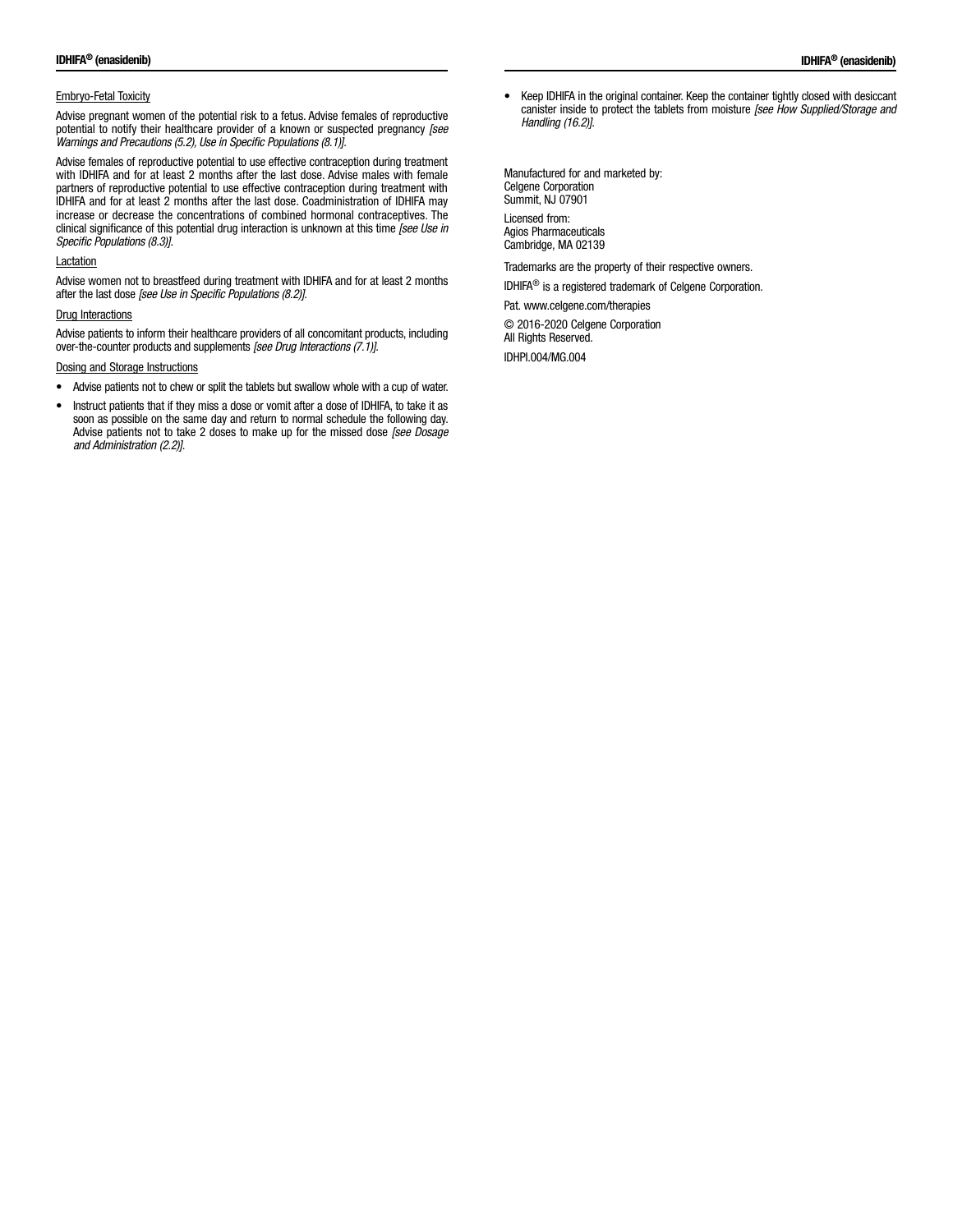## Embryo-Fetal Toxicity

Advise pregnant women of the potential risk to a fetus. Advise females of reproductive potential to notify their healthcare provider of a known or suspected pregnancy *[see Warnings and Precautions (5.2), Use in Specific Populations (8.1)]*.

Advise females of reproductive potential to use effective contraception during treatment with IDHIFA and for at least 2 months after the last dose. Advise males with female partners of reproductive potential to use effective contraception during treatment with IDHIFA and for at least 2 months after the last dose. Coadministration of IDHIFA may increase or decrease the concentrations of combined hormonal contraceptives. The clinical significance of this potential drug interaction is unknown at this time *[see Use in Specific Populations (8.3)]*.

#### Lactation

Advise women not to breastfeed during treatment with IDHIFA and for at least 2 months after the last dose *[see Use in Specific Populations (8.2)]*.

## **Drug Interactions**

Advise patients to inform their healthcare providers of all concomitant products, including over-the-counter products and supplements *[see Drug Interactions (7.1)]*.

#### Dosing and Storage Instructions

- Advise patients not to chew or split the tablets but swallow whole with a cup of water.
- Instruct patients that if they miss a dose or vomit after a dose of IDHIFA, to take it as soon as possible on the same day and return to normal schedule the following day. Advise patients not to take 2 doses to make up for the missed dose *[see Dosage and Administration (2.2)]*.

• Keep IDHIFA in the original container. Keep the container tightly closed with desiccant canister inside to protect the tablets from moisture *[see How Supplied/Storage and Handling (16.2)]*.

Manufactured for and marketed by: Celgene Corporation Summit, NJ 07901 Licensed from: Agios Pharmaceuticals Cambridge, MA 02139

Trademarks are the property of their respective owners.

IDHIFA® is a registered trademark of Celgene Corporation.

Pat. www.celgene.com/therapies

© 2016-2020 Celgene Corporation All Rights Reserved.

IDHPI.004/MG.004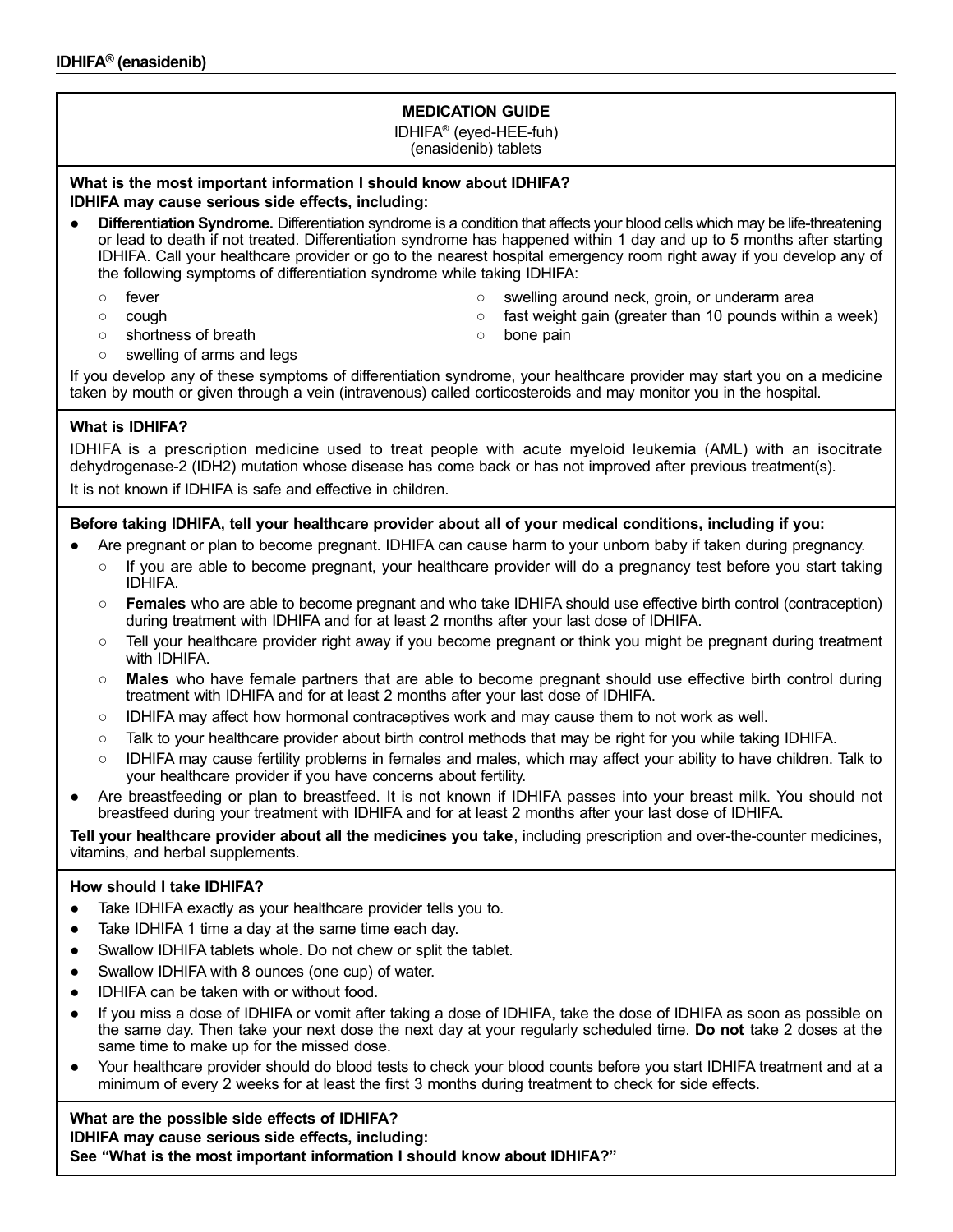# **MEDICATION GUIDE**

IDHIFA® (eyed-HEE-fuh) (enasidenib) tablets

# **What is the most important information I should know about IDHIFA? IDHIFA may cause serious side effects, including:**

- **Differentiation Syndrome.** Differentiation syndrome is a condition that affects your blood cells which may be life-threatening or lead to death if not treated. Differentiation syndrome has happened within 1 day and up to 5 months after starting IDHIFA. Call your healthcare provider or go to the nearest hospital emergency room right away if you develop any of the following symptoms of differentiation syndrome while taking IDHIFA:
	-
	-
	- fever strategies are settled as swelling around neck, groin, or underarm area
	- cough cough cough cough cough cough cough than 10 pounds within a week)
	- shortness of breath △ bone pain
- 

○ swelling of arms and legs

If you develop any of these symptoms of differentiation syndrome, your healthcare provider may start you on a medicine taken by mouth or given through a vein (intravenous) called corticosteroids and may monitor you in the hospital.

# **What is IDHIFA?**

IDHIFA is a prescription medicine used to treat people with acute myeloid leukemia (AML) with an isocitrate dehydrogenase-2 (IDH2) mutation whose disease has come back or has not improved after previous treatment(s).

It is not known if IDHIFA is safe and effective in children.

# **Before taking IDHIFA, tell your healthcare provider about all of your medical conditions, including if you:**

- Are pregnant or plan to become pregnant. IDHIFA can cause harm to your unborn baby if taken during pregnancy.
	- If you are able to become pregnant, your healthcare provider will do a pregnancy test before you start taking IDHIFA.
	- **Females** who are able to become pregnant and who take IDHIFA should use effective birth control (contraception) during treatment with IDHIFA and for at least 2 months after your last dose of IDHIFA.
	- Tell your healthcare provider right away if you become pregnant or think you might be pregnant during treatment with IDHIFA.
	- **Males**  who have female partners that are able to become pregnant should use effective birth control during treatment with IDHIFA and for at least 2 months after your last dose of IDHIFA.
	- IDHIFA may affect how hormonal contraceptives work and may cause them to not work as well.
	- Talk to your healthcare provider about birth control methods that may be right for you while taking IDHIFA.
	- IDHIFA may cause fertility problems in females and males, which may affect your ability to have children. Talk to your healthcare provider if you have concerns about fertility.
- Are breastfeeding or plan to breastfeed. It is not known if IDHIFA passes into your breast milk. You should not breastfeed during your treatment with IDHIFA and for at least 2 months after your last dose of IDHIFA.

**Tell your healthcare provider about all the medicines you take** , including prescription and over-the-counter medicines, vitamins, and herbal supplements.

# **How should I take IDHIFA?**

- Take IDHIFA exactly as your healthcare provider tells you to.
- Take IDHIFA 1 time a day at the same time each day.
- Swallow IDHIFA tablets whole. Do not chew or split the tablet.
- Swallow IDHIFA with 8 ounces (one cup) of water.
- IDHIFA can be taken with or without food.
- If you miss a dose of IDHIFA or vomit after taking a dose of IDHIFA, take the dose of IDHIFA as soon as possible on the same day. Then take your next dose the next day at your regularly scheduled time. **Do not**  take 2 doses at the same time to make up for the missed dose.
- Your healthcare provider should do blood tests to check your blood counts before you start IDHIFA treatment and at a minimum of every 2 weeks for at least the first 3 months during treatment to check for side effects.

# **What are the possible side effects of IDHIFA?**

**IDHIFA may cause serious side effects, including:**

**See "What is the most important information I should know about IDHIFA?"**